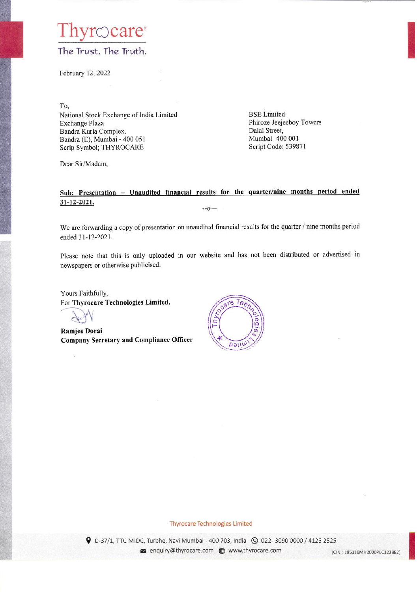### hyrocare The Trust. The Truth.

February 12, 2022

To,

National Stock Exchange of India Limited Exchange Plaza Bandra Kurla Complex, Bandra (E), Mumbai - 400 051 Scrip Symbol; THYROCARE

**BSE** Limited Phiroze Jeejeeboy Towers Dalal Street, Mumbai- 400 001 Script Code: 539871

Dear Sir/Madam,

#### Sub: Presentation - Unaudited financial results for the quarter/nine months period ended 31-12-2021.  $-0-$

We are forwarding a copy of presentation on unaudited financial results for the quarter / nine months period ended 31-12-2021.

Please note that this is only uploaded in our website and has not been distributed or advertised in newspapers or otherwise publicised.

Yours Faithfully, For Thyrocare Technologies Limited,

Ramjee Dorai **Company Secretary and Compliance Officer** 



#### **Thyrocare Technologies Limited**

9 D-37/1, TTC MIDC, Turbhe, Navi Mumbai - 400 703, India Q 022-3090 0000 / 4125 2525 enquiry@thyrocare.com @ www.thyrocare.com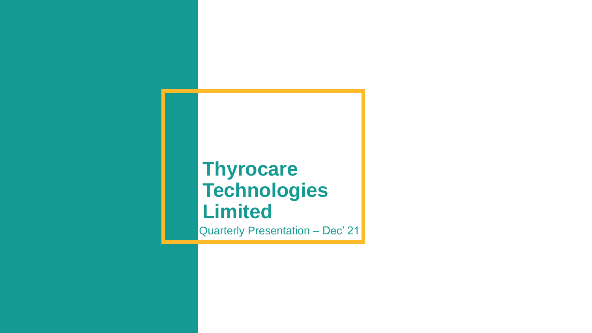# **Thyrocare Technologies Limited**

Quarterly Presentation - Dec' 21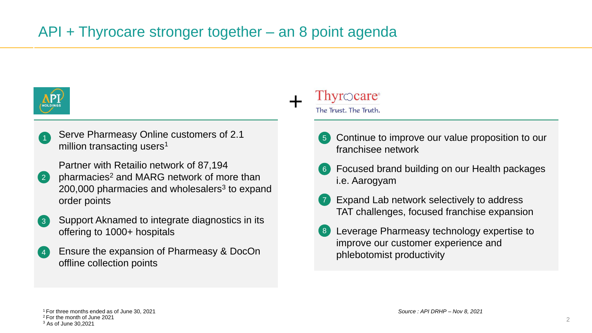## API + Thyrocare stronger together – an 8 point agenda



Serve Pharmeasy Online customers of 2.1 million transacting users<sup>1</sup> 1

Partner with Retailio network of 87,194

- pharmacies<sup>2</sup> and MARG network of more than  $200,000$  pharmacies and wholesalers<sup>3</sup> to expand order points 2
- Support Aknamed to integrate diagnostics in its offering to 1000+ hospitals 3
- Ensure the expansion of Pharmeasy & DocOn offline collection points 4

## $Thy$ rocare<sup>®</sup>

+

The Trust. The Truth.

- Continue to improve our value proposition to our franchisee network 5
- Focused brand building on our Health packages i.e. Aarogyam 6
- Expand Lab network selectively to address TAT challenges, focused franchise expansion 7
- Leverage Pharmeasy technology expertise to improve our customer experience and phlebotomist productivity 8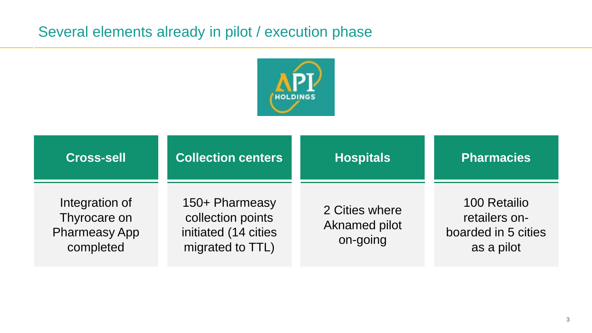## Several elements already in pilot / execution phase



| <b>Cross-sell</b>                                                   | <b>Collection centers</b>                                                       | <b>Hospitals</b>                                   | <b>Pharmacies</b>                                                  |
|---------------------------------------------------------------------|---------------------------------------------------------------------------------|----------------------------------------------------|--------------------------------------------------------------------|
| Integration of<br>Thyrocare on<br><b>Pharmeasy App</b><br>completed | 150+ Pharmeasy<br>collection points<br>initiated (14 cities<br>migrated to TTL) | 2 Cities where<br><b>Aknamed pilot</b><br>on-going | 100 Retailio<br>retailers on-<br>boarded in 5 cities<br>as a pilot |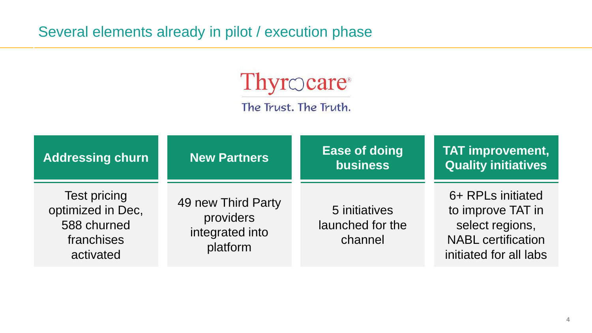## Several elements already in pilot / execution phase



The Trust. The Truth.

| <b>Addressing churn</b>                                                            | <b>New Partners</b>                                            | <b>Ease of doing</b><br><b>business</b>      | <b>TAT improvement,</b><br><b>Quality initiatives</b>                                                            |
|------------------------------------------------------------------------------------|----------------------------------------------------------------|----------------------------------------------|------------------------------------------------------------------------------------------------------------------|
| <b>Test pricing</b><br>optimized in Dec,<br>588 churned<br>franchises<br>activated | 49 new Third Party<br>providers<br>integrated into<br>platform | 5 initiatives<br>launched for the<br>channel | 6+ RPLs initiated<br>to improve TAT in<br>select regions,<br><b>NABL</b> certification<br>initiated for all labs |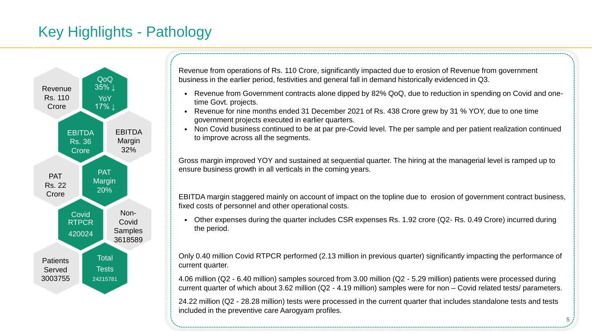## Key Highlights - Pathology



Revenue from operations of Rs. 110 Crore, significantly impacted due to erosion of Revenue from government business in the earlier period, festivities and general fall in demand historically evidenced in Q3.

- Revenue from Government contracts alone dipped by 82% QoQ, due to reduction in spending on Covid and onetime Govt. projects.
- Revenue for nine months ended 31 December 2021 of Rs. 438 Crore grew by 31 % YOY, due to one time government projects executed in earlier quarters.
- Non Covid business continued to be at par pre-Covid level. The per sample and per patient realization continued to improve across all the segments.

Gross margin improved YOY and sustained at sequential quarter. The hiring at the managerial level is ramped up to ensure business growth in all verticals in the coming years.

EBITDA margin staggered mainly on account of impact on the topline due to erosion of government contract business, fixed costs of personnel and other operational costs.

• Other expenses during the quarter includes CSR expenses Rs. 1.92 crore (Q2- Rs. 0.49 Crore) incurred during the period.

Only 0.40 million Covid RTPCR performed (2.13 million in previous quarter) significantly impacting the performance of current quarter.

4.06 million (Q2 - 6.40 million) samples sourced from 3.00 million (Q2 - 5.29 million) patients were processed during current quarter of which about 3.62 million (Q2 - 4.19 million) samples were for non – Covid related tests/ parameters.

24.22 million (Q2 - 28.28 million) tests were processed in the current quarter that includes standalone tests and tests included in the preventive care Aarogyam profiles.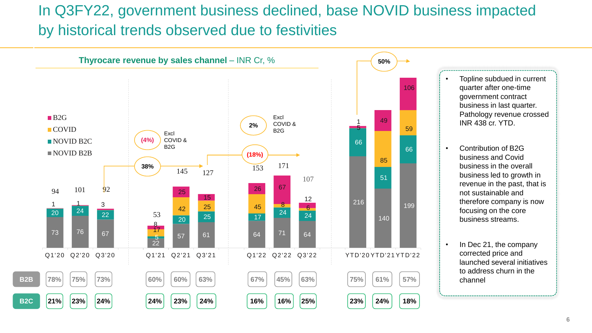## In Q3FY22, government business declined, base NOVID business impacted by historical trends observed due to festivities

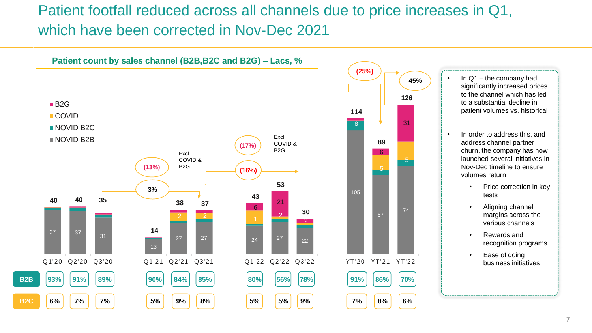## Patient footfall reduced across all channels due to price increases in Q1, which have been corrected in Nov-Dec 2021

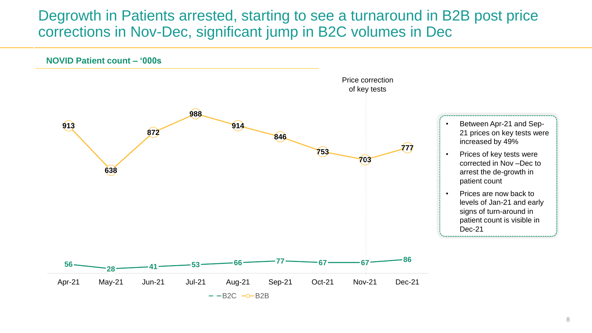### Degrowth in Patients arrested, starting to see a turnaround in B2B post price corrections in Nov-Dec, significant jump in B2C volumes in Dec

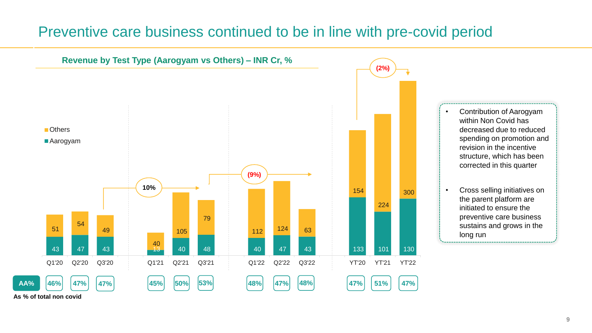### Preventive care business continued to be in line with pre-covid period

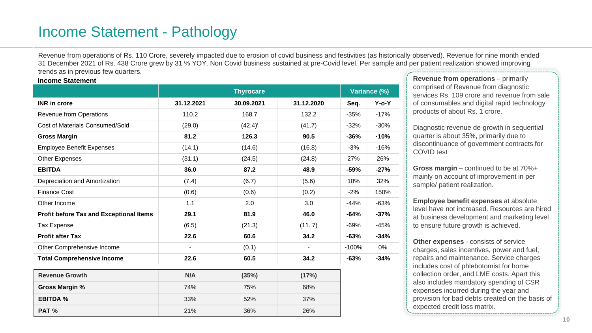### Income Statement - Pathology

Revenue from operations of Rs. 110 Crore, severely impacted due to erosion of covid business and festivities (as historically observed). Revenue for nine month ended 31 December 2021 of Rs. 438 Crore grew by 31 % YOY. Non Covid business sustained at pre-Covid level. Per sample and per patient realization showed improving trends as in previous few quarters.

#### **Income Statement**

|                                                | <b>Thyrocare</b> |            |                          |         | Variance (%) |  |
|------------------------------------------------|------------------|------------|--------------------------|---------|--------------|--|
| <b>INR</b> in crore                            | 31.12.2021       | 30.09.2021 | 31.12.2020               | Seq.    | $Y$ -o- $Y$  |  |
| <b>Revenue from Operations</b>                 | 110.2            | 168.7      | 132.2                    | $-35%$  | $-17%$       |  |
| Cost of Materials Consumed/Sold                | (29.0)           | (42.4)'    | (41.7)                   | $-32%$  | $-30%$       |  |
| <b>Gross Margin</b>                            | 81.2             | 126.3      | 90.5                     | $-36%$  | $-10%$       |  |
| <b>Employee Benefit Expenses</b>               | (14.1)           | (14.6)     | (16.8)                   | $-3%$   | $-16%$       |  |
| <b>Other Expenses</b>                          | (31.1)           | (24.5)     | (24.8)                   | 27%     | 26%          |  |
| <b>EBITDA</b>                                  | 36.0             | 87.2       | 48.9                     | $-59%$  | $-27%$       |  |
| Depreciation and Amortization                  | (7.4)            | (6.7)      | (5.6)                    | 10%     | 32%          |  |
| <b>Finance Cost</b>                            | (0.6)            | (0.6)      | (0.2)                    | $-2%$   | 150%         |  |
| Other Income                                   | 1.1              | 2.0        | 3.0                      | $-44%$  | $-63%$       |  |
| <b>Profit before Tax and Exceptional Items</b> | 29.1             | 81.9       | 46.0                     | $-64%$  | $-37%$       |  |
| <b>Tax Expense</b>                             | (6.5)            | (21.3)     | (11.7)                   | $-69%$  | $-45%$       |  |
| <b>Profit after Tax</b>                        | 22.6             | 60.6       | 34.2                     | $-63%$  | $-34%$       |  |
| Other Comprehensive Income                     | $\blacksquare$   | (0.1)      | $\overline{\phantom{a}}$ | $-100%$ | 0%           |  |
| <b>Total Comprehensive Income</b>              | 22.6             | 60.5       | 34.2                     | $-63%$  | $-34%$       |  |
| <b>Revenue Growth</b>                          | N/A              | (35%)      | (17%)                    |         |              |  |
| <b>Gross Margin %</b>                          | 74%              | 75%        | 68%                      |         |              |  |
| <b>EBITDA %</b>                                | 33%              | 52%        | 37%                      |         |              |  |
| PAT %                                          | 21%              | 36%        | 26%                      |         |              |  |

**Revenue from operations – primarily** comprised of Revenue from diagnostic services Rs. 109 crore and revenue from sale of consumables and digital rapid technology products of about Rs. 1 crore.

Diagnostic revenue de-growth in sequential quarter is about 35%, primarily due to discontinuance of government contracts for COVID test

**Gross margin** – continued to be at 70%+ mainly on account of improvement in per sample/ patient realization.

**Employee benefit expenses** at absolute level have not increased. Resources are hired at business development and marketing level to ensure future growth is achieved.

**Other expenses** - consists of service charges, sales incentives, power and fuel, repairs and maintenance. Service charges includes cost of phlebotomist for home collection order, and LME costs. Apart this also includes mandatory spending of CSR expenses incurred during the year and provision for bad debts created on the basis of expected credit loss matrix.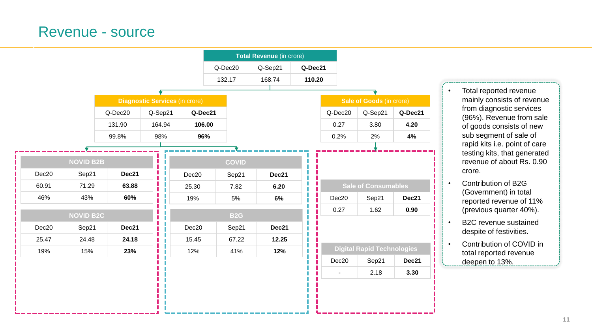### Revenue - source



- Total reported revenue mainly consists of revenue from diagnostic services (96%). Revenue from sale of goods consists of new sub segment of sale of rapid kits i.e. point of care testing kits, that generated revenue of about Rs. 0.90 crore.
- Contribution of B2G (Government) in total reported revenue of 11% (previous quarter 40%).
- B2C revenue sustained despite of festivities.
- Contribution of COVID in total reported revenue deepen to 13%.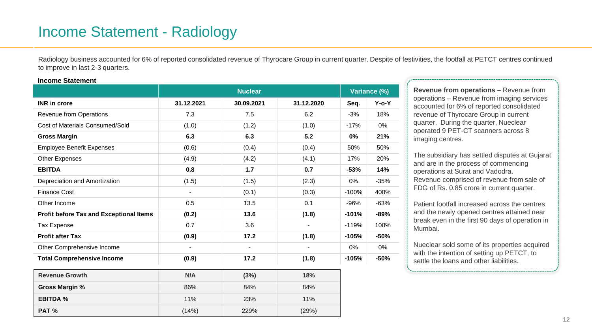## Income Statement - Radiology

Radiology business accounted for 6% of reported consolidated revenue of Thyrocare Group in current quarter. Despite of festivities, the footfall at PETCT centres continued to improve in last 2-3 quarters.

#### **Income Statement**

|                                                | <b>Nuclear</b>           |            |            | Variance (%) |             |
|------------------------------------------------|--------------------------|------------|------------|--------------|-------------|
| <b>INR</b> in crore                            | 31.12.2021               | 30.09.2021 | 31.12.2020 | Seq.         | $Y$ -o- $Y$ |
| Revenue from Operations                        | 7.3                      | 7.5        | 6.2        | $-3%$        | 18%         |
| Cost of Materials Consumed/Sold                | (1.0)                    | (1.2)      | (1.0)      | $-17%$       | 0%          |
| <b>Gross Margin</b>                            | 6.3                      | 6.3        | 5.2        | 0%           | 21%         |
| <b>Employee Benefit Expenses</b>               | (0.6)                    | (0.4)      | (0.4)      | 50%          | 50%         |
| Other Expenses                                 | (4.9)                    | (4.2)      | (4.1)      | 17%          | 20%         |
| <b>EBITDA</b>                                  | 0.8                      | $1.7$      | 0.7        | $-53%$       | 14%         |
| Depreciation and Amortization                  | (1.5)                    | (1.5)      | (2.3)      | 0%           | $-35%$      |
| <b>Finance Cost</b>                            | $\overline{\phantom{a}}$ | (0.1)      | (0.3)      | $-100%$      | 400%        |
| Other Income                                   | 0.5                      | 13.5       | 0.1        | $-96%$       | $-63%$      |
| <b>Profit before Tax and Exceptional Items</b> | (0.2)                    | 13.6       | (1.8)      | $-101%$      | $-89%$      |
| <b>Tax Expense</b>                             | 0.7                      | 3.6        |            | $-119%$      | 100%        |
| <b>Profit after Tax</b>                        | (0.9)                    | 17.2       | (1.8)      | $-105%$      | $-50%$      |
| Other Comprehensive Income                     |                          |            |            | 0%           | 0%          |
| <b>Total Comprehensive Income</b>              | (0.9)                    | 17.2       | (1.8)      | $-105%$      | $-50%$      |
| <b>Revenue Growth</b>                          | N/A                      | (3%)       | 18%        |              |             |
| <b>Gross Margin %</b>                          | 86%                      | 84%        | 84%        |              |             |
| <b>EBITDA %</b>                                | 11%                      | 23%        | 11%        |              |             |
| PAT %                                          | (14%)                    | 229%       | (29%)      |              |             |

**Revenue from operations** – Revenue from operations – Revenue from imaging services accounted for 6% of reported consolidated revenue of Thyrocare Group in current quarter. During the quarter, Nueclear operated 9 PET-CT scanners across 8 imaging centres.

The subsidiary has settled disputes at Gujarat and are in the process of commencing operations at Surat and Vadodra. Revenue comprised of revenue from sale of FDG of Rs. 0.85 crore in current quarter.

Patient footfall increased across the centres and the newly opened centres attained near break even in the first 90 days of operation in Mumbai.

Nueclear sold some of its properties acquired with the intention of setting up PETCT, to settle the loans and other liabilities.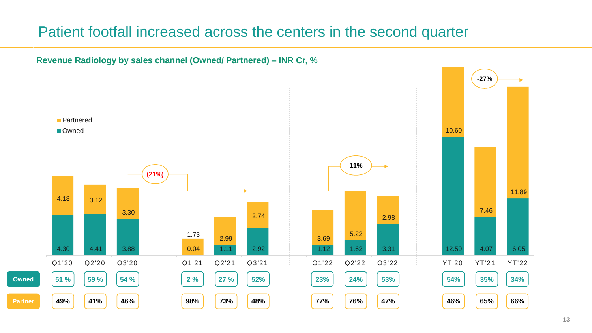### Patient footfall increased across the centers in the second quarter